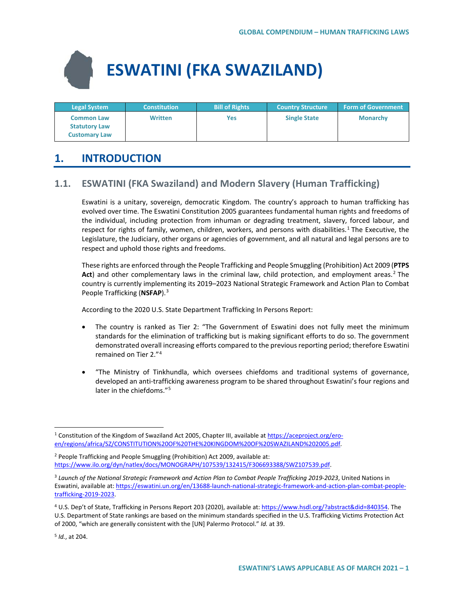# **ESWATINI (FKA SWAZILAND)**

| <b>Legal System</b>                                               | <b>Constitution</b> | <b>Bill of Rights</b> | <b>Country Structure</b> | <b>Form of Government</b> |
|-------------------------------------------------------------------|---------------------|-----------------------|--------------------------|---------------------------|
| <b>Common Law</b><br><b>Statutory Law</b><br><b>Customary Law</b> | <b>Written</b>      | Yes                   | <b>Single State</b>      | <b>Monarchy</b>           |

# **1. INTRODUCTION**

# **1.1. ESWATINI (FKA Swaziland) and Modern Slavery (Human Trafficking)**

Eswatini is a unitary, sovereign, democratic Kingdom. The country's approach to human trafficking has evolved over time. The Eswatini Constitution 2005 guarantees fundamental human rights and freedoms of the individual, including protection from inhuman or degrading treatment, slavery, forced labour, and respect for rights of family, women, children, workers, and persons with disabilities.<sup>[1](#page-0-0)</sup> The Executive, the Legislature, the Judiciary, other organs or agencies of government, and all natural and legal persons are to respect and uphold those rights and freedoms.

These rights are enforced through the People Trafficking and People Smuggling (Prohibition) Act 2009 (**PTPS Act**) and other complementary laws in the criminal law, child protection, and employment areas. [2](#page-0-1) The country is currently implementing its 2019–2023 National Strategic Framework and Action Plan to Combat People Trafficking (**NSFAP**)[.3](#page-0-2)

According to the 2020 U.S. State Department Trafficking In Persons Report:

- The country is ranked as Tier 2: "The Government of Eswatini does not fully meet the minimum standards for the elimination of trafficking but is making significant efforts to do so. The government demonstrated overall increasing efforts compared to the previous reporting period; therefore Eswatini remained on Tier 2."[4](#page-0-3)
- "The Ministry of Tinkhundla, which oversees chiefdoms and traditional systems of governance, developed an anti-trafficking awareness program to be shared throughout Eswatini's four regions and later in the chiefdoms."[5](#page-0-4)

<span id="page-0-4"></span><sup>5</sup> *Id.*, at 204.

<span id="page-0-0"></span><sup>&</sup>lt;sup>1</sup> Constitution of the Kingdom of Swaziland Act 2005, Chapter III, available a[t https://aceproject.org/ero](https://aceproject.org/ero-en/regions/africa/SZ/CONSTITUTION%20OF%20THE%20KINGDOM%20OF%20SWAZILAND%202005.pdf)[en/regions/africa/SZ/CONSTITUTION%20OF%20THE%20KINGDOM%20OF%20SWAZILAND%202005.pdf.](https://aceproject.org/ero-en/regions/africa/SZ/CONSTITUTION%20OF%20THE%20KINGDOM%20OF%20SWAZILAND%202005.pdf)

<span id="page-0-1"></span><sup>2</sup> People Trafficking and People Smuggling (Prohibition) Act 2009, available at: [https://www.ilo.org/dyn/natlex/docs/MONOGRAPH/107539/132415/F306693388/SWZ107539.pdf.](https://www.ilo.org/dyn/natlex/docs/MONOGRAPH/107539/132415/F306693388/SWZ107539.pdf) 

<span id="page-0-2"></span><sup>3</sup> *Launch of the National Strategic Framework and Action Plan to Combat People Trafficking 2019-2023*, United Nations in Eswatini, available at: [https://eswatini.un.org/en/13688-launch-national-strategic-framework-and-action-plan-combat-people](https://eswatini.un.org/en/13688-launch-national-strategic-framework-and-action-plan-combat-people-trafficking-2019-2023)[trafficking-2019-2023.](https://eswatini.un.org/en/13688-launch-national-strategic-framework-and-action-plan-combat-people-trafficking-2019-2023)

<span id="page-0-3"></span><sup>4</sup> U.S. Dep't of State, Trafficking in Persons Report 203 (2020), available at[: https://www.hsdl.org/?abstract&did=840354.](https://www.hsdl.org/?abstract&did=840354) The U.S. Department of State rankings are based on the minimum standards specified in the U.S. Trafficking Victims Protection Act of 2000, "which are generally consistent with the [UN] Palermo Protocol." *Id.* at 39.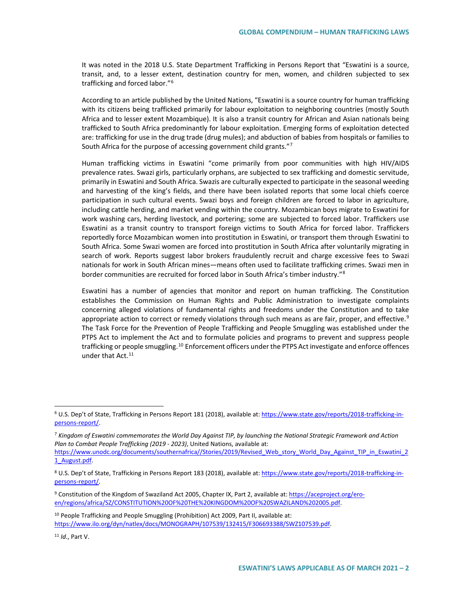It was noted in the 2018 U.S. State Department Trafficking in Persons Report that "Eswatini is a source, transit, and, to a lesser extent, destination country for men, women, and children subjected to sex trafficking and forced labor."[6](#page-1-0)

According to an article published by the United Nations, "Eswatini is a source country for human trafficking with its citizens being trafficked primarily for labour exploitation to neighboring countries (mostly South Africa and to lesser extent Mozambique). It is also a transit country for African and Asian nationals being trafficked to South Africa predominantly for labour exploitation. Emerging forms of exploitation detected are: trafficking for use in the drug trade (drug mules); and abduction of babies from hospitals or families to South Africa for the purpose of accessing government child grants."[7](#page-1-1)

Human trafficking victims in Eswatini "come primarily from poor communities with high HIV/AIDS prevalence rates. Swazi girls, particularly orphans, are subjected to sex trafficking and domestic servitude, primarily in Eswatini and South Africa. Swazis are culturally expected to participate in the seasonal weeding and harvesting of the king's fields, and there have been isolated reports that some local chiefs coerce participation in such cultural events. Swazi boys and foreign children are forced to labor in agriculture, including cattle herding, and market vending within the country. Mozambican boys migrate to Eswatini for work washing cars, herding livestock, and portering; some are subjected to forced labor. Traffickers use Eswatini as a transit country to transport foreign victims to South Africa for forced labor. Traffickers reportedly force Mozambican women into prostitution in Eswatini, or transport them through Eswatini to South Africa. Some Swazi women are forced into prostitution in South Africa after voluntarily migrating in search of work. Reports suggest labor brokers fraudulently recruit and charge excessive fees to Swazi nationals for work in South African mines—means often used to facilitate trafficking crimes. Swazi men in border communities are recruited for forced labor in South Africa's timber industry."<sup>[8](#page-1-2)</sup>

Eswatini has a number of agencies that monitor and report on human trafficking. The Constitution establishes the Commission on Human Rights and Public Administration to investigate complaints concerning alleged violations of fundamental rights and freedoms under the Constitution and to take appropriate action to correct or remedy violations through such means as are fair, proper, and effective.<sup>[9](#page-1-3)</sup> The Task Force for the Prevention of People Trafficking and People Smuggling was established under the PTPS Act to implement the Act and to formulate policies and programs to prevent and suppress people trafficking or people smuggling.<sup>[10](#page-1-4)</sup> Enforcement officers under the PTPS Act investigate and enforce offences under that Act.<sup>[11](#page-1-5)</sup>

<span id="page-1-5"></span><sup>11</sup> *Id*., Part V.

<span id="page-1-0"></span> <sup>6</sup> U.S. Dep't of State, Trafficking in Persons Report 181 (2018), available at[: https://www.state.gov/reports/2018-trafficking-in](https://www.state.gov/reports/2018-trafficking-in-persons-report/)[persons-report/.](https://www.state.gov/reports/2018-trafficking-in-persons-report/) 

<span id="page-1-1"></span><sup>7</sup> *Kingdom of Eswatini commemorates the World Day Against TIP, by launching the National Strategic Framework and Action Plan to Combat People Trafficking (2019 - 2023)*, United Nations, available at:

[https://www.unodc.org/documents/southernafrica//Stories/2019/Revised\\_Web\\_story\\_World\\_Day\\_Against\\_TIP\\_in\\_Eswatini\\_2](https://www.unodc.org/documents/southernafrica/Stories/2019/Revised_Web_story_World_Day_Against_TIP_in_Eswatini_21_August.pdf) [1\\_August.pdf.](https://www.unodc.org/documents/southernafrica/Stories/2019/Revised_Web_story_World_Day_Against_TIP_in_Eswatini_21_August.pdf)

<span id="page-1-2"></span><sup>&</sup>lt;sup>8</sup> U.S. Dep't of State, Trafficking in Persons Report 183 (2018), available at[: https://www.state.gov/reports/2018-trafficking-in](https://www.state.gov/reports/2018-trafficking-in-persons-report/)[persons-report/.](https://www.state.gov/reports/2018-trafficking-in-persons-report/) 

<span id="page-1-3"></span><sup>9</sup> Constitution of the Kingdom of Swaziland Act 2005, Chapter IX, Part 2, available at[: https://aceproject.org/ero](https://aceproject.org/ero-en/regions/africa/SZ/CONSTITUTION%20OF%20THE%20KINGDOM%20OF%20SWAZILAND%202005.pdf)[en/regions/africa/SZ/CONSTITUTION%20OF%20THE%20KINGDOM%20OF%20SWAZILAND%202005.pdf.](https://aceproject.org/ero-en/regions/africa/SZ/CONSTITUTION%20OF%20THE%20KINGDOM%20OF%20SWAZILAND%202005.pdf)

<span id="page-1-4"></span><sup>&</sup>lt;sup>10</sup> People Trafficking and People Smuggling (Prohibition) Act 2009, Part II, available at: [https://www.ilo.org/dyn/natlex/docs/MONOGRAPH/107539/132415/F306693388/SWZ107539.pdf.](https://www.ilo.org/dyn/natlex/docs/MONOGRAPH/107539/132415/F306693388/SWZ107539.pdf)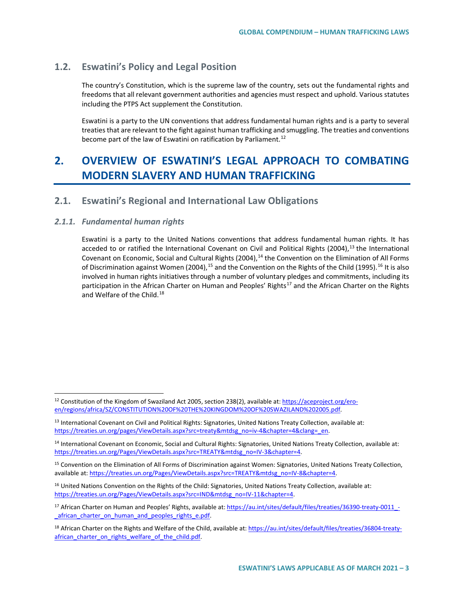# **1.2. Eswatini's Policy and Legal Position**

The country's Constitution, which is the supreme law of the country, sets out the fundamental rights and freedoms that all relevant government authorities and agencies must respect and uphold. Various statutes including the PTPS Act supplement the Constitution.

Eswatini is a party to the UN conventions that address fundamental human rights and is a party to several treaties that are relevant to the fight against human trafficking and smuggling. The treaties and conventions become part of the law of Eswatini on ratification by Parliament.<sup>[12](#page-2-0)</sup>

# **2. OVERVIEW OF ESWATINI'S LEGAL APPROACH TO COMBATING MODERN SLAVERY AND HUMAN TRAFFICKING**

# **2.1. Eswatini's Regional and International Law Obligations**

## *2.1.1. Fundamental human rights*

Eswatini is a party to the United Nations conventions that address fundamental human rights. It has acceded to or ratified the International Covenant on Civil and Political Rights (2004),<sup>[13](#page-2-1)</sup> the International Covenant on Economic, Social and Cultural Rights (2004),<sup>14</sup> the Convention on the Elimination of All Forms of Discrimination against Women (2004),<sup>[15](#page-2-3)</sup> and the Convention on the Rights of the Child (1995).<sup>[16](#page-2-4)</sup> It is also involved in human rights initiatives through a number of voluntary pledges and commitments, including its participation in the African Charter on Human and Peoples' Rights<sup>[17](#page-2-5)</sup> and the African Charter on the Rights and Welfare of the Child.<sup>[18](#page-2-6)</sup>

<span id="page-2-0"></span><sup>&</sup>lt;sup>12</sup> Constitution of the Kingdom of Swaziland Act 2005, section 238(2), available at[: https://aceproject.org/ero](https://aceproject.org/ero-en/regions/africa/SZ/CONSTITUTION%20OF%20THE%20KINGDOM%20OF%20SWAZILAND%202005.pdf)[en/regions/africa/SZ/CONSTITUTION%20OF%20THE%20KINGDOM%20OF%20SWAZILAND%202005.pdf.](https://aceproject.org/ero-en/regions/africa/SZ/CONSTITUTION%20OF%20THE%20KINGDOM%20OF%20SWAZILAND%202005.pdf)

<span id="page-2-1"></span><sup>&</sup>lt;sup>13</sup> International Covenant on Civil and Political Rights: Signatories, United Nations Treaty Collection, available at: [https://treaties.un.org/pages/ViewDetails.aspx?src=treaty&mtdsg\\_no=iv-4&chapter=4&clang=\\_en.](https://treaties.un.org/pages/ViewDetails.aspx?src=treaty&mtdsg_no=iv-4&chapter=4&clang=_en)

<span id="page-2-2"></span><sup>&</sup>lt;sup>14</sup> International Covenant on Economic, Social and Cultural Rights: Signatories, United Nations Treaty Collection, available at: [https://treaties.un.org/Pages/ViewDetails.aspx?src=TREATY&mtdsg\\_no=IV-3&chapter=4.](https://treaties.un.org/Pages/ViewDetails.aspx?src=TREATY&mtdsg_no=IV-3&chapter=4) 

<span id="page-2-3"></span><sup>15</sup> Convention on the Elimination of All Forms of Discrimination against Women: Signatories, United Nations Treaty Collection, available at[: https://treaties.un.org/Pages/ViewDetails.aspx?src=TREATY&mtdsg\\_no=IV-8&chapter=4.](https://treaties.un.org/Pages/ViewDetails.aspx?src=TREATY&mtdsg_no=IV-8&chapter=4)

<span id="page-2-4"></span><sup>&</sup>lt;sup>16</sup> United Nations Convention on the Rights of the Child: Signatories, United Nations Treaty Collection, available at: [https://treaties.un.org/Pages/ViewDetails.aspx?src=IND&mtdsg\\_no=IV-11&chapter=4.](https://treaties.un.org/Pages/ViewDetails.aspx?src=IND&mtdsg_no=IV-11&chapter=4)

<span id="page-2-5"></span><sup>&</sup>lt;sup>17</sup> African Charter on Human and Peoples' Rights, available at[: https://au.int/sites/default/files/treaties/36390-treaty-0011\\_-](https://au.int/sites/default/files/treaties/36390-treaty-0011_-_african_charter_on_human_and_peoples_rights_e.pdf) [\\_african\\_charter\\_on\\_human\\_and\\_peoples\\_rights\\_e.pdf.](https://au.int/sites/default/files/treaties/36390-treaty-0011_-_african_charter_on_human_and_peoples_rights_e.pdf)

<span id="page-2-6"></span><sup>18</sup> African Charter on the Rights and Welfare of the Child, available at: [https://au.int/sites/default/files/treaties/36804-treaty](https://au.int/sites/default/files/treaties/36804-treaty-african_charter_on_rights_welfare_of_the_child.pdf)african charter on rights welfare of the child.pdf.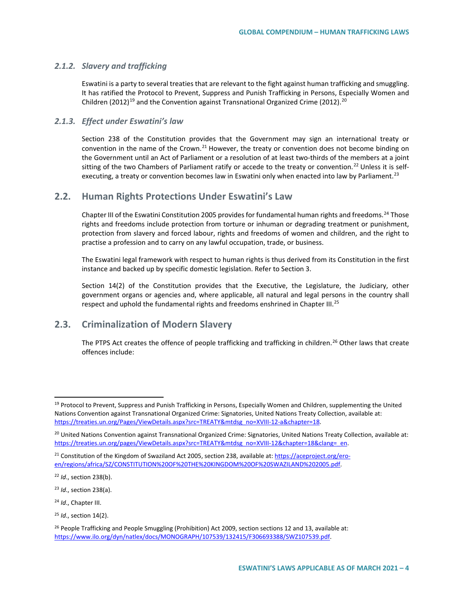## *2.1.2. Slavery and trafficking*

Eswatini is a party to several treaties that are relevant to the fight against human trafficking and smuggling. It has ratified the Protocol to Prevent, Suppress and Punish Trafficking in Persons, Especially Women and Children (2012)<sup>[19](#page-3-0)</sup> and the Convention against Transnational Organized Crime ([20](#page-3-1)12).<sup>20</sup>

## *2.1.3. Effect under Eswatini's law*

Section 238 of the Constitution provides that the Government may sign an international treaty or convention in the name of the Crown.<sup>[21](#page-3-2)</sup> However, the treaty or convention does not become binding on the Government until an Act of Parliament or a resolution of at least two-thirds of the members at a joint sitting of the two Chambers of Parliament ratify or accede to the treaty or convention.<sup>[22](#page-3-3)</sup> Unless it is self-executing, a treaty or convention becomes law in Eswatini only when enacted into law by Parliament.<sup>[23](#page-3-4)</sup>

# **2.2. Human Rights Protections Under Eswatini's Law**

Chapter III of the Eswatini Constitution 2005 provides for fundamental human rights and freedoms.<sup>[24](#page-3-5)</sup> Those rights and freedoms include protection from torture or inhuman or degrading treatment or punishment, protection from slavery and forced labour, rights and freedoms of women and children, and the right to practise a profession and to carry on any lawful occupation, trade, or business.

The Eswatini legal framework with respect to human rights is thus derived from its Constitution in the first instance and backed up by specific domestic legislation. Refer to Section 3.

Section 14(2) of the Constitution provides that the Executive, the Legislature, the Judiciary, other government organs or agencies and, where applicable, all natural and legal persons in the country shall respect and uphold the fundamental rights and freedoms enshrined in Chapter III.<sup>[25](#page-3-6)</sup>

# **2.3. Criminalization of Modern Slavery**

The PTPS Act creates the offence of people trafficking and trafficking in children.<sup>[26](#page-3-7)</sup> Other laws that create offences include:

<span id="page-3-4"></span><sup>23</sup> *Id*., section 238(a).

<span id="page-3-5"></span><sup>24</sup> *Id*., Chapter III.

<span id="page-3-0"></span><sup>&</sup>lt;sup>19</sup> Protocol to Prevent, Suppress and Punish Trafficking in Persons, Especially Women and Children, supplementing the United Nations Convention against Transnational Organized Crime: Signatories, United Nations Treaty Collection, available at: [https://treaties.un.org/Pages/ViewDetails.aspx?src=TREATY&mtdsg\\_no=XVIII-12-a&chapter=18.](https://treaties.un.org/Pages/ViewDetails.aspx?src=TREATY&mtdsg_no=XVIII-12-a&chapter=18)

<span id="page-3-1"></span><sup>&</sup>lt;sup>20</sup> United Nations Convention against Transnational Organized Crime: Signatories, United Nations Treaty Collection, available at: [https://treaties.un.org/pages/ViewDetails.aspx?src=TREATY&mtdsg\\_no=XVIII-12&chapter=18&clang=\\_en.](https://treaties.un.org/pages/ViewDetails.aspx?src=TREATY&mtdsg_no=XVIII-12&chapter=18&clang=_en)

<span id="page-3-2"></span><sup>&</sup>lt;sup>21</sup> Constitution of the Kingdom of Swaziland Act 2005, section 238, available at[: https://aceproject.org/ero](https://aceproject.org/ero-en/regions/africa/SZ/CONSTITUTION%20OF%20THE%20KINGDOM%20OF%20SWAZILAND%202005.pdf)[en/regions/africa/SZ/CONSTITUTION%20OF%20THE%20KINGDOM%20OF%20SWAZILAND%202005.pdf.](https://aceproject.org/ero-en/regions/africa/SZ/CONSTITUTION%20OF%20THE%20KINGDOM%20OF%20SWAZILAND%202005.pdf)

<span id="page-3-3"></span><sup>22</sup> *Id*., section 238(b).

<span id="page-3-6"></span><sup>25</sup> *Id*., section 14(2).

<span id="page-3-7"></span><sup>&</sup>lt;sup>26</sup> People Trafficking and People Smuggling (Prohibition) Act 2009, section sections 12 and 13, available at: [https://www.ilo.org/dyn/natlex/docs/MONOGRAPH/107539/132415/F306693388/SWZ107539.pdf.](https://www.ilo.org/dyn/natlex/docs/MONOGRAPH/107539/132415/F306693388/SWZ107539.pdf)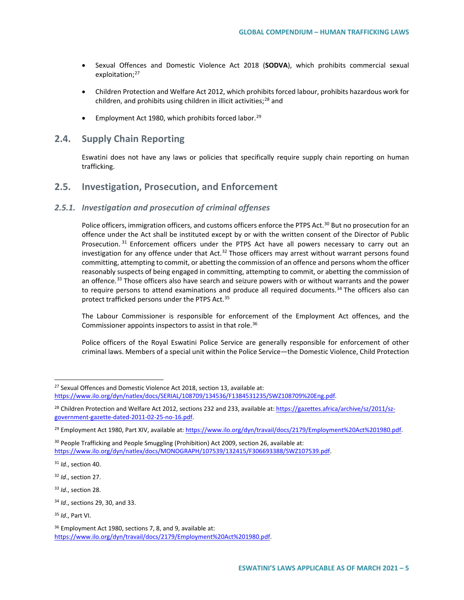- Sexual Offences and Domestic Violence Act 2018 (**SODVA**), which prohibits commercial sexual exploitation;<sup>[27](#page-4-0)</sup>
- Children Protection and Welfare Act 2012, which prohibits forced labour, prohibits hazardous work for children, and prohibits using children in illicit activities; $^{28}$  $^{28}$  $^{28}$  and
- Employment Act 1980, which prohibits forced labor.<sup>[29](#page-4-2)</sup>

# **2.4. Supply Chain Reporting**

Eswatini does not have any laws or policies that specifically require supply chain reporting on human trafficking.

# **2.5. Investigation, Prosecution, and Enforcement**

# *2.5.1. Investigation and prosecution of criminal offenses*

Police officers, immigration officers, and customs officers enforce the PTPS Act.<sup>[30](#page-4-3)</sup> But no prosecution for an offence under the Act shall be instituted except by or with the written consent of the Director of Public Prosecution. [31](#page-4-4) Enforcement officers under the PTPS Act have all powers necessary to carry out an investigation for any offence under that Act.<sup>[32](#page-4-5)</sup> Those officers may arrest without warrant persons found committing, attempting to commit, or abetting the commission of an offence and persons whom the officer reasonably suspects of being engaged in committing, attempting to commit, or abetting the commission of an offence.<sup>[33](#page-4-6)</sup> Those officers also have search and seizure powers with or without warrants and the power to require persons to attend examinations and produce all required documents.<sup>[34](#page-4-7)</sup> The officers also can protect trafficked persons under the PTPS Act.<sup>[35](#page-4-8)</sup>

The Labour Commissioner is responsible for enforcement of the Employment Act offences, and the Commissioner appoints inspectors to assist in that role.<sup>[36](#page-4-9)</sup>

Police officers of the Royal Eswatini Police Service are generally responsible for enforcement of other criminal laws. Members of a special unit within the Police Service—the Domestic Violence, Child Protection

<span id="page-4-0"></span> $27$  Sexual Offences and Domestic Violence Act 2018, section 13, available at: [https://www.ilo.org/dyn/natlex/docs/SERIAL/108709/134536/F1384531235/SWZ108709%20Eng.pdf.](https://www.ilo.org/dyn/natlex/docs/SERIAL/108709/134536/F1384531235/SWZ108709%20Eng.pdf)

<span id="page-4-1"></span><sup>&</sup>lt;sup>28</sup> Children Protection and Welfare Act 2012, sections 232 and 233, available at[: https://gazettes.africa/archive/sz/2011/sz](https://gazettes.africa/archive/sz/2011/sz-government-gazette-dated-2011-02-25-no-16.pdf)[government-gazette-dated-2011-02-25-no-16.pdf.](https://gazettes.africa/archive/sz/2011/sz-government-gazette-dated-2011-02-25-no-16.pdf)

<span id="page-4-2"></span><sup>29</sup> Employment Act 1980, Part XIV, available at[: https://www.ilo.org/dyn/travail/docs/2179/Employment%20Act%201980.pdf.](https://www.ilo.org/dyn/travail/docs/2179/Employment%20Act%201980.pdf) 

<span id="page-4-3"></span><sup>&</sup>lt;sup>30</sup> People Trafficking and People Smuggling (Prohibition) Act 2009, section 26, available at: [https://www.ilo.org/dyn/natlex/docs/MONOGRAPH/107539/132415/F306693388/SWZ107539.pdf.](https://www.ilo.org/dyn/natlex/docs/MONOGRAPH/107539/132415/F306693388/SWZ107539.pdf)

<span id="page-4-4"></span><sup>31</sup> *Id*., section 40.

<span id="page-4-5"></span><sup>32</sup> *Id*., section 27.

<span id="page-4-6"></span><sup>33</sup> *Id*., section 28.

<span id="page-4-7"></span><sup>34</sup> *Id*., sections 29, 30, and 33.

<span id="page-4-8"></span><sup>35</sup> *Id*., Part VI.

<span id="page-4-9"></span><sup>&</sup>lt;sup>36</sup> Employment Act 1980, sections 7, 8, and 9, available at: [https://www.ilo.org/dyn/travail/docs/2179/Employment%20Act%201980.pdf.](https://www.ilo.org/dyn/travail/docs/2179/Employment%20Act%201980.pdf)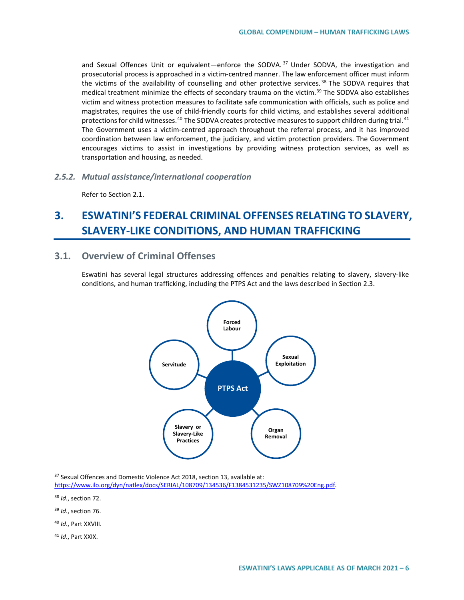and Sexual Offences Unit or equivalent—enforce the SODVA.<sup>[37](#page-5-0)</sup> Under SODVA, the investigation and prosecutorial process is approached in a victim-centred manner. The law enforcement officer must inform the victims of the availability of counselling and other protective services.<sup>[38](#page-5-1)</sup> The SODVA requires that medical treatment minimize the effects of secondary trauma on the victim.<sup>[39](#page-5-2)</sup> The SODVA also establishes victim and witness protection measures to facilitate safe communication with officials, such as police and magistrates, requires the use of child-friendly courts for child victims, and establishes several additional protections for child witnesses.<sup>[40](#page-5-3)</sup> The SODVA creates protective measures to support children during trial.<sup>[41](#page-5-4)</sup> The Government uses a victim-centred approach throughout the referral process, and it has improved coordination between law enforcement, the judiciary, and victim protection providers. The Government encourages victims to assist in investigations by providing witness protection services, as well as transportation and housing, as needed.

*2.5.2. Mutual assistance/international cooperation*

Refer to Section 2.1.

# **3. ESWATINI'S FEDERAL CRIMINAL OFFENSES RELATING TO SLAVERY, SLAVERY-LIKE CONDITIONS, AND HUMAN TRAFFICKING**

# **3.1. Overview of Criminal Offenses**

Eswatini has several legal structures addressing offences and penalties relating to slavery, slavery-like conditions, and human trafficking, including the PTPS Act and the laws described in Section 2.3.



<span id="page-5-0"></span><sup>37</sup> Sexual Offences and Domestic Violence Act 2018, section 13, available at:

<span id="page-5-1"></span><sup>38</sup> *Id*., section 72.

<span id="page-5-2"></span><sup>39</sup> *Id*., section 76.

<span id="page-5-3"></span><sup>40</sup> *Id*., Part XXVIII.

<span id="page-5-4"></span><sup>41</sup> *Id*., Part XXIX.

[https://www.ilo.org/dyn/natlex/docs/SERIAL/108709/134536/F1384531235/SWZ108709%20Eng.pdf.](https://www.ilo.org/dyn/natlex/docs/SERIAL/108709/134536/F1384531235/SWZ108709%20Eng.pdf)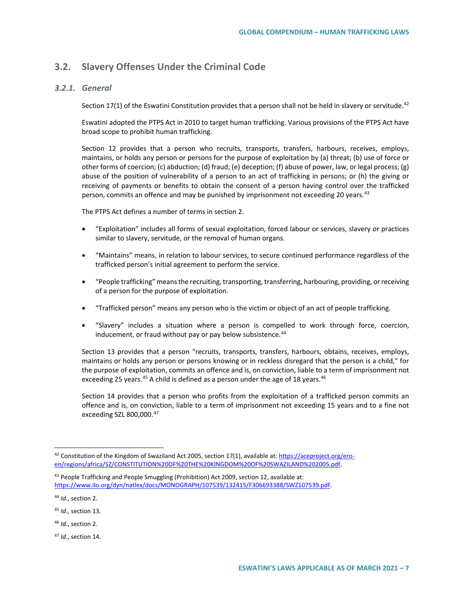# **3.2. Slavery Offenses Under the Criminal Code**

# *3.2.1. General*

Section 17(1) of the Eswatini Constitution provides that a person shall not be held in slavery or servitude.<sup>[42](#page-6-0)</sup>

Eswatini adopted the PTPS Act in 2010 to target human trafficking. Various provisions of the PTPS Act have broad scope to prohibit human trafficking.

Section 12 provides that a person who recruits, transports, transfers, harbours, receives, employs, maintains, or holds any person or persons for the purpose of exploitation by (a) threat; (b) use of force or other forms of coercion; (c) abduction; (d) fraud; (e) deception; (f) abuse of power, law, or legal process; (g) abuse of the position of vulnerability of a person to an act of trafficking in persons; or (h) the giving or receiving of payments or benefits to obtain the consent of a person having control over the trafficked person, commits an offence and may be punished by imprisonment not exceeding 20 years.<sup>[43](#page-6-1)</sup>

The PTPS Act defines a number of terms in section 2.

- "Exploitation" includes all forms of sexual exploitation, forced labour or services, slavery or practices similar to slavery, servitude, or the removal of human organs.
- "Maintains" means, in relation to labour services, to secure continued performance regardless of the trafficked person's initial agreement to perform the service.
- "People trafficking" means the recruiting, transporting, transferring, harbouring, providing, or receiving of a person for the purpose of exploitation.
- "Trafficked person" means any person who is the victim or object of an act of people trafficking.
- "Slavery" includes a situation where a person is compelled to work through force, coercion, inducement, or fraud without pay or pay below subsistence.<sup>[44](#page-6-2)</sup>

Section 13 provides that a person "recruits, transports, transfers, harbours, obtains, receives, employs, maintains or holds any person or persons knowing or in reckless disregard that the person is a child," for the purpose of exploitation, commits an offence and is, on conviction, liable to a term of imprisonment not exceeding 25 years.<sup>[45](#page-6-3)</sup> A child is defined as a person under the age of 18 years.<sup>[46](#page-6-4)</sup>

Section 14 provides that a person who profits from the exploitation of a trafficked person commits an offence and is, on conviction, liable to a term of imprisonment not exceeding 15 years and to a fine not exceeding SZL 800,000.[47](#page-6-5)

<span id="page-6-0"></span><sup>42</sup> Constitution of the Kingdom of Swaziland Act 2005, section 17(1), available at: [https://aceproject.org/ero](https://aceproject.org/ero-en/regions/africa/SZ/CONSTITUTION%20OF%20THE%20KINGDOM%20OF%20SWAZILAND%202005.pdf)[en/regions/africa/SZ/CONSTITUTION%20OF%20THE%20KINGDOM%20OF%20SWAZILAND%202005.pdf.](https://aceproject.org/ero-en/regions/africa/SZ/CONSTITUTION%20OF%20THE%20KINGDOM%20OF%20SWAZILAND%202005.pdf)

<span id="page-6-1"></span> $43$  People Trafficking and People Smuggling (Prohibition) Act 2009, section 12, available at: [https://www.ilo.org/dyn/natlex/docs/MONOGRAPH/107539/132415/F306693388/SWZ107539.pdf.](https://www.ilo.org/dyn/natlex/docs/MONOGRAPH/107539/132415/F306693388/SWZ107539.pdf)

<span id="page-6-2"></span><sup>44</sup> *Id*., section 2.

<span id="page-6-3"></span><sup>45</sup> *Id*., section 13.

<span id="page-6-4"></span><sup>46</sup> *Id*., section 2.

<span id="page-6-5"></span><sup>47</sup> *Id*., section 14.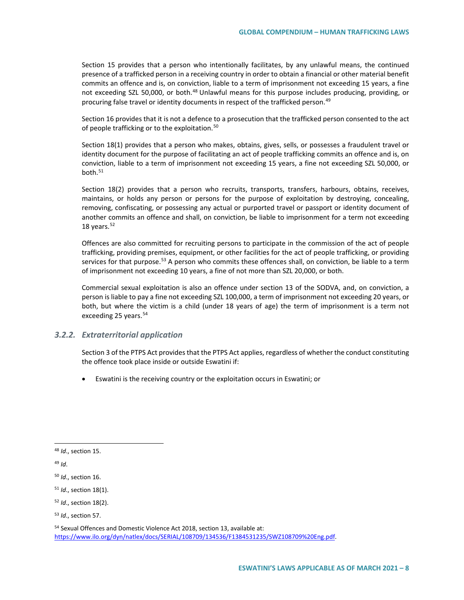Section 15 provides that a person who intentionally facilitates, by any unlawful means, the continued presence of a trafficked person in a receiving country in order to obtain a financial or other material benefit commits an offence and is, on conviction, liable to a term of imprisonment not exceeding 15 years, a fine not exceeding SZL 50,000, or both.<sup>[48](#page-7-0)</sup> Unlawful means for this purpose includes producing, providing, or procuring false travel or identity documents in respect of the trafficked person.<sup>[49](#page-7-1)</sup>

Section 16 provides that it is not a defence to a prosecution that the trafficked person consented to the act of people trafficking or to the exploitation.<sup>[50](#page-7-2)</sup>

Section 18(1) provides that a person who makes, obtains, gives, sells, or possesses a fraudulent travel or identity document for the purpose of facilitating an act of people trafficking commits an offence and is, on conviction, liable to a term of imprisonment not exceeding 15 years, a fine not exceeding SZL 50,000, or both.<sup>[51](#page-7-3)</sup>

Section 18(2) provides that a person who recruits, transports, transfers, harbours, obtains, receives, maintains, or holds any person or persons for the purpose of exploitation by destroying, concealing, removing, confiscating, or possessing any actual or purported travel or passport or identity document of another commits an offence and shall, on conviction, be liable to imprisonment for a term not exceeding 18 years. $52$ 

Offences are also committed for recruiting persons to participate in the commission of the act of people trafficking, providing premises, equipment, or other facilities for the act of people trafficking, or providing services for that purpose.<sup>[53](#page-7-5)</sup> A person who commits these offences shall, on conviction, be liable to a term of imprisonment not exceeding 10 years, a fine of not more than SZL 20,000, or both.

Commercial sexual exploitation is also an offence under section 13 of the SODVA, and, on conviction, a person is liable to pay a fine not exceeding SZL 100,000, a term of imprisonment not exceeding 20 years, or both, but where the victim is a child (under 18 years of age) the term of imprisonment is a term not exceeding 25 years. $54$ 

## *3.2.2. Extraterritorial application*

Section 3 of the PTPS Act provides that the PTPS Act applies, regardless of whether the conduct constituting the offence took place inside or outside Eswatini if:

• Eswatini is the receiving country or the exploitation occurs in Eswatini; or

<span id="page-7-0"></span> <sup>48</sup> *Id*., section 15.

<span id="page-7-1"></span><sup>49</sup> *Id*.

<span id="page-7-2"></span><sup>50</sup> *Id*., section 16.

<span id="page-7-3"></span><sup>51</sup> *Id*., section 18(1).

<span id="page-7-4"></span><sup>52</sup> *Id*., section 18(2).

<span id="page-7-5"></span><sup>53</sup> *Id*., section 57.

<span id="page-7-6"></span><sup>54</sup> Sexual Offences and Domestic Violence Act 2018, section 13, available at: [https://www.ilo.org/dyn/natlex/docs/SERIAL/108709/134536/F1384531235/SWZ108709%20Eng.pdf.](https://www.ilo.org/dyn/natlex/docs/SERIAL/108709/134536/F1384531235/SWZ108709%20Eng.pdf)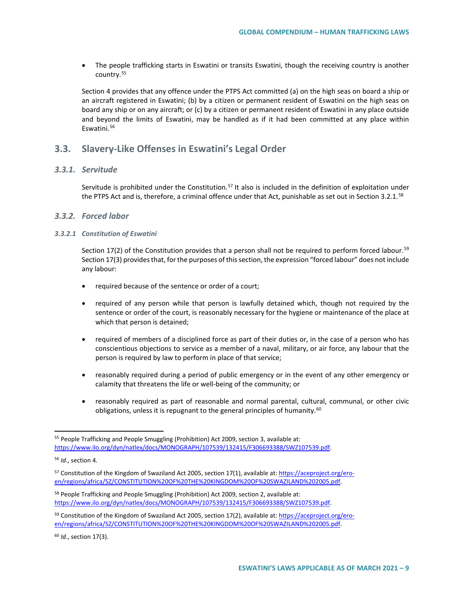• The people trafficking starts in Eswatini or transits Eswatini, though the receiving country is another country.[55](#page-8-0)

Section 4 provides that any offence under the PTPS Act committed (a) on the high seas on board a ship or an aircraft registered in Eswatini; (b) by a citizen or permanent resident of Eswatini on the high seas on board any ship or on any aircraft; or (c) by a citizen or permanent resident of Eswatini in any place outside and beyond the limits of Eswatini, may be handled as if it had been committed at any place within Eswatini.[56](#page-8-1)

# **3.3. Slavery-Like Offenses in Eswatini's Legal Order**

## *3.3.1. Servitude*

Servitude is prohibited under the Constitution.<sup>[57](#page-8-2)</sup> It also is included in the definition of exploitation under the PTPS Act and is, therefore, a criminal offence under that Act, punishable as set out in Section 3.2.1.<sup>[58](#page-8-3)</sup>

#### *3.3.2. Forced labor*

#### *3.3.2.1 Constitution of Eswatini*

Section 17(2) of the Constitution provides that a person shall not be required to perform forced labour.<sup>[59](#page-8-4)</sup> Section 17(3) provides that, for the purposes of this section, the expression "forced labour" does not include any labour:

- required because of the sentence or order of a court;
- required of any person while that person is lawfully detained which, though not required by the sentence or order of the court, is reasonably necessary for the hygiene or maintenance of the place at which that person is detained;
- required of members of a disciplined force as part of their duties or, in the case of a person who has conscientious objections to service as a member of a naval, military, or air force, any labour that the person is required by law to perform in place of that service;
- reasonably required during a period of public emergency or in the event of any other emergency or calamity that threatens the life or well-being of the community; or
- reasonably required as part of reasonable and normal parental, cultural, communal, or other civic obligations, unless it is repugnant to the general principles of humanity.<sup>[60](#page-8-5)</sup>

<span id="page-8-5"></span><sup>60</sup> *Id*., section 17(3).

<span id="page-8-0"></span> <sup>55</sup> People Trafficking and People Smuggling (Prohibition) Act 2009, section 3, available at: [https://www.ilo.org/dyn/natlex/docs/MONOGRAPH/107539/132415/F306693388/SWZ107539.pdf.](https://www.ilo.org/dyn/natlex/docs/MONOGRAPH/107539/132415/F306693388/SWZ107539.pdf)

<span id="page-8-1"></span><sup>56</sup> *Id*., section 4.

<span id="page-8-2"></span><sup>57</sup> Constitution of the Kingdom of Swaziland Act 2005, section 17(1), available at: [https://aceproject.org/ero](https://aceproject.org/ero-en/regions/africa/SZ/CONSTITUTION%20OF%20THE%20KINGDOM%20OF%20SWAZILAND%202005.pdf)[en/regions/africa/SZ/CONSTITUTION%20OF%20THE%20KINGDOM%20OF%20SWAZILAND%202005.pdf.](https://aceproject.org/ero-en/regions/africa/SZ/CONSTITUTION%20OF%20THE%20KINGDOM%20OF%20SWAZILAND%202005.pdf)

<span id="page-8-3"></span><sup>58</sup> People Trafficking and People Smuggling (Prohibition) Act 2009, section 2, available at: [https://www.ilo.org/dyn/natlex/docs/MONOGRAPH/107539/132415/F306693388/SWZ107539.pdf.](https://www.ilo.org/dyn/natlex/docs/MONOGRAPH/107539/132415/F306693388/SWZ107539.pdf)

<span id="page-8-4"></span><sup>59</sup> Constitution of the Kingdom of Swaziland Act 2005, section 17(2), available at: [https://aceproject.org/ero](https://aceproject.org/ero-en/regions/africa/SZ/CONSTITUTION%20OF%20THE%20KINGDOM%20OF%20SWAZILAND%202005.pdf)[en/regions/africa/SZ/CONSTITUTION%20OF%20THE%20KINGDOM%20OF%20SWAZILAND%202005.pdf.](https://aceproject.org/ero-en/regions/africa/SZ/CONSTITUTION%20OF%20THE%20KINGDOM%20OF%20SWAZILAND%202005.pdf)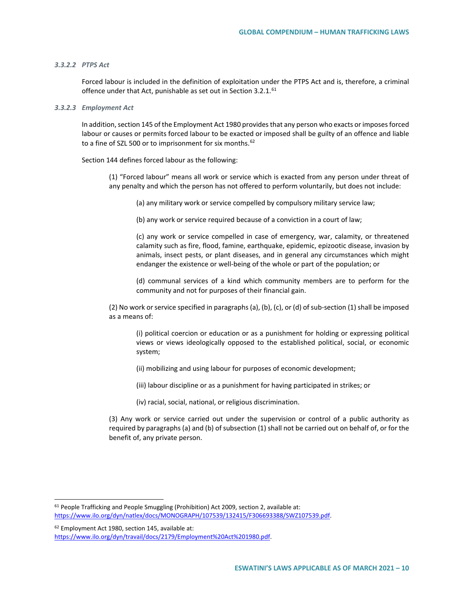#### *3.3.2.2 PTPS Act*

Forced labour is included in the definition of exploitation under the PTPS Act and is, therefore, a criminal offence under that Act, punishable as set out in Section 3.2.1.<sup>[61](#page-9-0)</sup>

#### *3.3.2.3 Employment Act*

In addition, section 145 of the Employment Act 1980 provides that any person who exacts or imposes forced labour or causes or permits forced labour to be exacted or imposed shall be guilty of an offence and liable to a fine of SZL 500 or to imprisonment for six months.  $62$ 

Section 144 defines forced labour as the following:

(1) "Forced labour" means all work or service which is exacted from any person under threat of any penalty and which the person has not offered to perform voluntarily, but does not include:

(a) any military work or service compelled by compulsory military service law;

(b) any work or service required because of a conviction in a court of law;

(c) any work or service compelled in case of emergency, war, calamity, or threatened calamity such as fire, flood, famine, earthquake, epidemic, epizootic disease, invasion by animals, insect pests, or plant diseases, and in general any circumstances which might endanger the existence or well-being of the whole or part of the population; or

(d) communal services of a kind which community members are to perform for the community and not for purposes of their financial gain.

(2) No work or service specified in paragraphs (a), (b), (c), or (d) of sub-section (1) shall be imposed as a means of:

(i) political coercion or education or as a punishment for holding or expressing political views or views ideologically opposed to the established political, social, or economic system;

- (ii) mobilizing and using labour for purposes of economic development;
- (iii) labour discipline or as a punishment for having participated in strikes; or
- (iv) racial, social, national, or religious discrimination.

(3) Any work or service carried out under the supervision or control of a public authority as required by paragraphs (a) and (b) of subsection (1) shall not be carried out on behalf of, or for the benefit of, any private person.

<span id="page-9-0"></span> <sup>61</sup> People Trafficking and People Smuggling (Prohibition) Act 2009, section 2, available at: [https://www.ilo.org/dyn/natlex/docs/MONOGRAPH/107539/132415/F306693388/SWZ107539.pdf.](https://www.ilo.org/dyn/natlex/docs/MONOGRAPH/107539/132415/F306693388/SWZ107539.pdf)

<span id="page-9-1"></span><sup>62</sup> Employment Act 1980, section 145, available at: [https://www.ilo.org/dyn/travail/docs/2179/Employment%20Act%201980.pdf.](https://www.ilo.org/dyn/travail/docs/2179/Employment%20Act%201980.pdf)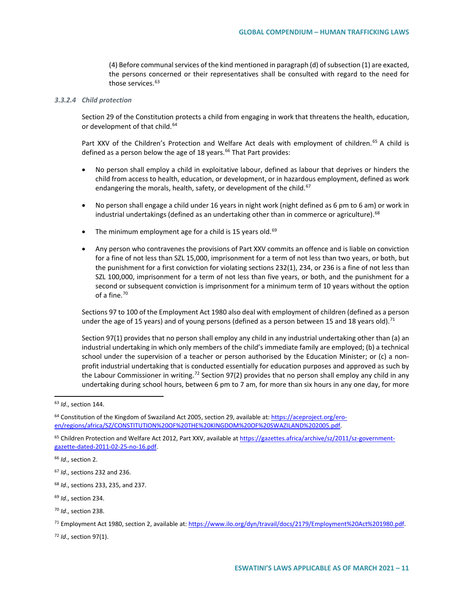(4) Before communal services of the kind mentioned in paragraph (d) of subsection (1) are exacted, the persons concerned or their representatives shall be consulted with regard to the need for those services.<sup>[63](#page-10-0)</sup>

#### *3.3.2.4 Child protection*

Section 29 of the Constitution protects a child from engaging in work that threatens the health, education, or development of that child.<sup>[64](#page-10-1)</sup>

Part XXV of the Children's Protection and Welfare Act deals with employment of children.<sup>[65](#page-10-2)</sup> A child is defined as a person below the age of 18 years.<sup>[66](#page-10-3)</sup> That Part provides:

- No person shall employ a child in exploitative labour, defined as labour that deprives or hinders the child from access to health, education, or development, or in hazardous employment, defined as work endangering the morals, health, safety, or development of the child.<sup>[67](#page-10-4)</sup>
- No person shall engage a child under 16 years in night work (night defined as 6 pm to 6 am) or work in industrial undertakings (defined as an undertaking other than in commerce or agriculture).<sup>[68](#page-10-5)</sup>
- The minimum employment age for a child is 15 years old.<sup>[69](#page-10-6)</sup>
- Any person who contravenes the provisions of Part XXV commits an offence and is liable on conviction for a fine of not less than SZL 15,000, imprisonment for a term of not less than two years, or both, but the punishment for a first conviction for violating sections 232(1), 234, or 236 is a fine of not less than SZL 100,000, imprisonment for a term of not less than five years, or both, and the punishment for a second or subsequent conviction is imprisonment for a minimum term of 10 years without the option of a fine.[70](#page-10-7)

Sections 97 to 100 of the Employment Act 1980 also deal with employment of children (defined as a person under the age of 15 years) and of young persons (defined as a person between 15 and 18 years old).<sup>[71](#page-10-8)</sup>

Section 97(1) provides that no person shall employ any child in any industrial undertaking other than (a) an industrial undertaking in which only members of the child's immediate family are employed; (b) a technical school under the supervision of a teacher or person authorised by the Education Minister; or (c) a nonprofit industrial undertaking that is conducted essentially for education purposes and approved as such by the Labour Commissioner in writing.<sup>[72](#page-10-9)</sup> Section 97(2) provides that no person shall employ any child in any undertaking during school hours, between 6 pm to 7 am, for more than six hours in any one day, for more

<span id="page-10-9"></span><sup>72</sup> *Id*., section 97(1).

<span id="page-10-0"></span> <sup>63</sup> *Id*., section 144.

<span id="page-10-1"></span><sup>&</sup>lt;sup>64</sup> Constitution of the Kingdom of Swaziland Act 2005, section 29, available at[: https://aceproject.org/ero](https://aceproject.org/ero-en/regions/africa/SZ/CONSTITUTION%20OF%20THE%20KINGDOM%20OF%20SWAZILAND%202005.pdf)[en/regions/africa/SZ/CONSTITUTION%20OF%20THE%20KINGDOM%20OF%20SWAZILAND%202005.pdf.](https://aceproject.org/ero-en/regions/africa/SZ/CONSTITUTION%20OF%20THE%20KINGDOM%20OF%20SWAZILAND%202005.pdf)

<span id="page-10-2"></span><sup>&</sup>lt;sup>65</sup> Children Protection and Welfare Act 2012, Part XXV, available a[t https://gazettes.africa/archive/sz/2011/sz-government](https://gazettes.africa/archive/sz/2011/sz-government-gazette-dated-2011-02-25-no-16.pdf)[gazette-dated-2011-02-25-no-16.pdf.](https://gazettes.africa/archive/sz/2011/sz-government-gazette-dated-2011-02-25-no-16.pdf)

<span id="page-10-3"></span><sup>66</sup> *Id*., section 2.

<span id="page-10-4"></span><sup>67</sup> *Id*., sections 232 and 236.

<span id="page-10-5"></span><sup>68</sup> *Id*., sections 233, 235, and 237.

<span id="page-10-6"></span><sup>69</sup> *Id*., section 234.

<span id="page-10-7"></span><sup>70</sup> *Id*., section 238.

<span id="page-10-8"></span><sup>71</sup> Employment Act 1980, section 2, available at: [https://www.ilo.org/dyn/travail/docs/2179/Employment%20Act%201980.pdf.](https://www.ilo.org/dyn/travail/docs/2179/Employment%20Act%201980.pdf)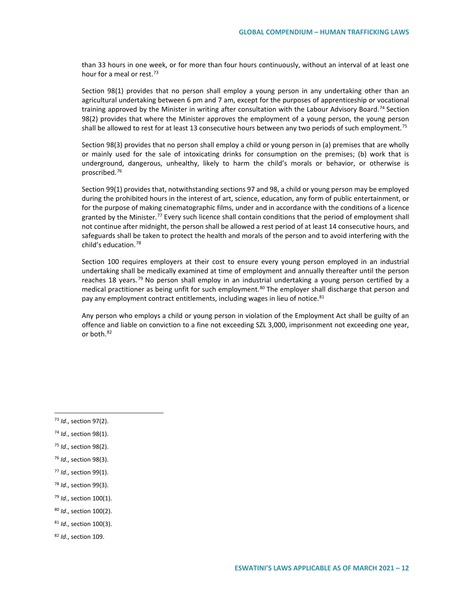than 33 hours in one week, or for more than four hours continuously, without an interval of at least one hour for a meal or rest.<sup>[73](#page-11-0)</sup>

Section 98(1) provides that no person shall employ a young person in any undertaking other than an agricultural undertaking between 6 pm and 7 am, except for the purposes of apprenticeship or vocational training approved by the Minister in writing after consultation with the Labour Advisory Board.<sup>[74](#page-11-1)</sup> Section 98(2) provides that where the Minister approves the employment of a young person, the young person shall be allowed to rest for at least 13 consecutive hours between any two periods of such employment.<sup>[75](#page-11-2)</sup>

Section 98(3) provides that no person shall employ a child or young person in (a) premises that are wholly or mainly used for the sale of intoxicating drinks for consumption on the premises; (b) work that is underground, dangerous, unhealthy, likely to harm the child's morals or behavior, or otherwise is proscribed[.76](#page-11-3)

Section 99(1) provides that, notwithstanding sections 97 and 98, a child or young person may be employed during the prohibited hours in the interest of art, science, education, any form of public entertainment, or for the purpose of making cinematographic films, under and in accordance with the conditions of a licence granted by the Minister.<sup>[77](#page-11-4)</sup> Every such licence shall contain conditions that the period of employment shall not continue after midnight, the person shall be allowed a rest period of at least 14 consecutive hours, and safeguards shall be taken to protect the health and morals of the person and to avoid interfering with the child's education.[78](#page-11-5)

Section 100 requires employers at their cost to ensure every young person employed in an industrial undertaking shall be medically examined at time of employment and annually thereafter until the person reaches 18 years.<sup>[79](#page-11-6)</sup> No person shall employ in an industrial undertaking a young person certified by a medical practitioner as being unfit for such employment.<sup>[80](#page-11-7)</sup> The employer shall discharge that person and pay any employment contract entitlements, including wages in lieu of notice.<sup>[81](#page-11-8)</sup>

Any person who employs a child or young person in violation of the Employment Act shall be guilty of an offence and liable on conviction to a fine not exceeding SZL 3,000, imprisonment not exceeding one year, or both.<sup>[82](#page-11-9)</sup>

<span id="page-11-2"></span><sup>75</sup> *Id*., section 98(2).

- <span id="page-11-6"></span><sup>79</sup> *Id*., section 100(1).
- <span id="page-11-7"></span><sup>80</sup> *Id*., section 100(2).
- <span id="page-11-8"></span><sup>81</sup> *Id*., section 100(3).
- <span id="page-11-9"></span><sup>82</sup> *Id*., section 109.

<span id="page-11-0"></span> <sup>73</sup> *Id*., section 97(2).

<span id="page-11-1"></span><sup>74</sup> *Id*., section 98(1).

<span id="page-11-3"></span><sup>76</sup> *Id*., section 98(3).

<span id="page-11-4"></span><sup>77</sup> *Id*., section 99(1).

<span id="page-11-5"></span><sup>78</sup> *Id*., section 99(3).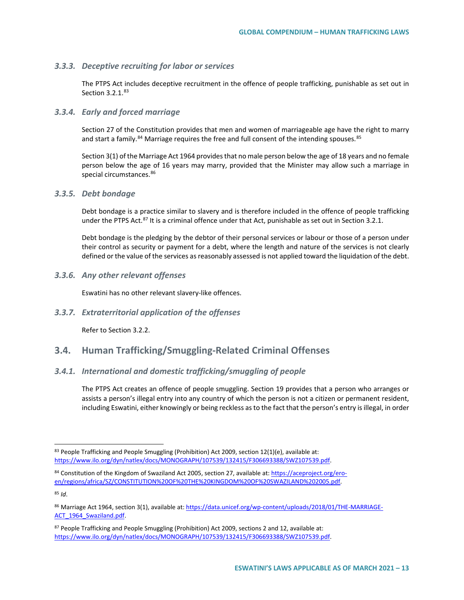#### *3.3.3. Deceptive recruiting for labor or services*

The PTPS Act includes deceptive recruitment in the offence of people trafficking, punishable as set out in Section 3.2.1.<sup>[83](#page-12-0)</sup>

## *3.3.4. Early and forced marriage*

Section 27 of the Constitution provides that men and women of marriageable age have the right to marry and start a family.<sup>[84](#page-12-1)</sup> Marriage requires the free and full consent of the intending spouses.<sup>[85](#page-12-2)</sup>

Section 3(1) of the Marriage Act 1964 provides that no male person below the age of 18 years and no female person below the age of 16 years may marry, provided that the Minister may allow such a marriage in special circumstances.<sup>[86](#page-12-3)</sup>

#### *3.3.5. Debt bondage*

Debt bondage is a practice similar to slavery and is therefore included in the offence of people trafficking under the PTPS Act.<sup>[87](#page-12-4)</sup> It is a criminal offence under that Act, punishable as set out in Section 3.2.1.

Debt bondage is the pledging by the debtor of their personal services or labour or those of a person under their control as security or payment for a debt, where the length and nature of the services is not clearly defined or the value of the services as reasonably assessed is not applied toward the liquidation of the debt.

#### *3.3.6. Any other relevant offenses*

Eswatini has no other relevant slavery-like offences.

# *3.3.7. Extraterritorial application of the offenses*

Refer to Section 3.2.2.

# **3.4. Human Trafficking/Smuggling-Related Criminal Offenses**

#### *3.4.1. International and domestic trafficking/smuggling of people*

The PTPS Act creates an offence of people smuggling. Section 19 provides that a person who arranges or assists a person's illegal entry into any country of which the person is not a citizen or permanent resident, including Eswatini, either knowingly or being reckless as to the fact that the person's entry is illegal, in order

<span id="page-12-2"></span><sup>85</sup> *Id*.

<span id="page-12-0"></span><sup>&</sup>lt;sup>83</sup> People Trafficking and People Smuggling (Prohibition) Act 2009, section  $12(1)(e)$ , available at: [https://www.ilo.org/dyn/natlex/docs/MONOGRAPH/107539/132415/F306693388/SWZ107539.pdf.](https://www.ilo.org/dyn/natlex/docs/MONOGRAPH/107539/132415/F306693388/SWZ107539.pdf)

<span id="page-12-1"></span><sup>84</sup> Constitution of the Kingdom of Swaziland Act 2005, section 27, available at[: https://aceproject.org/ero](https://aceproject.org/ero-en/regions/africa/SZ/CONSTITUTION%20OF%20THE%20KINGDOM%20OF%20SWAZILAND%202005.pdf)[en/regions/africa/SZ/CONSTITUTION%20OF%20THE%20KINGDOM%20OF%20SWAZILAND%202005.pdf.](https://aceproject.org/ero-en/regions/africa/SZ/CONSTITUTION%20OF%20THE%20KINGDOM%20OF%20SWAZILAND%202005.pdf)

<span id="page-12-3"></span><sup>86</sup> Marriage Act 1964, section 3(1), available at[: https://data.unicef.org/wp-content/uploads/2018/01/THE-MARRIAGE-](https://data.unicef.org/wp-content/uploads/2018/01/THE-MARRIAGE-ACT_1964_Swaziland.pdf)ACT 1964 Swaziland.pdf.

<span id="page-12-4"></span><sup>87</sup> People Trafficking and People Smuggling (Prohibition) Act 2009, sections 2 and 12, available at: [https://www.ilo.org/dyn/natlex/docs/MONOGRAPH/107539/132415/F306693388/SWZ107539.pdf.](https://www.ilo.org/dyn/natlex/docs/MONOGRAPH/107539/132415/F306693388/SWZ107539.pdf)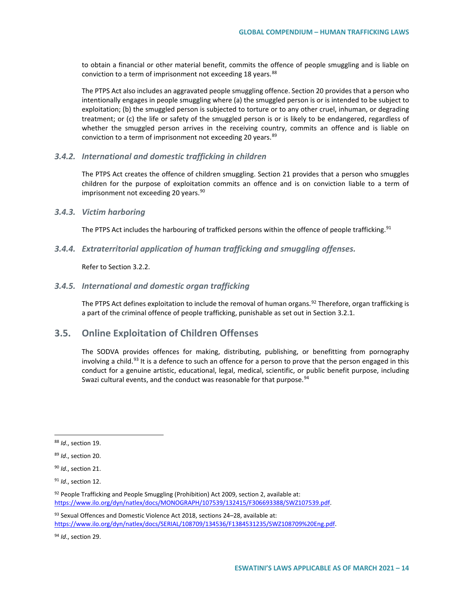to obtain a financial or other material benefit, commits the offence of people smuggling and is liable on conviction to a term of imprisonment not exceeding 18 years.<sup>[88](#page-13-0)</sup>

The PTPS Act also includes an aggravated people smuggling offence. Section 20 provides that a person who intentionally engages in people smuggling where (a) the smuggled person is or is intended to be subject to exploitation; (b) the smuggled person is subjected to torture or to any other cruel, inhuman, or degrading treatment; or (c) the life or safety of the smuggled person is or is likely to be endangered, regardless of whether the smuggled person arrives in the receiving country, commits an offence and is liable on conviction to a term of imprisonment not exceeding 20 years. [89](#page-13-1)

#### *3.4.2. International and domestic trafficking in children*

The PTPS Act creates the offence of children smuggling. Section 21 provides that a person who smuggles children for the purpose of exploitation commits an offence and is on conviction liable to a term of imprisonment not exceeding 20 years.<sup>[90](#page-13-2)</sup>

#### *3.4.3. Victim harboring*

The PTPS Act includes the harbouring of trafficked persons within the offence of people trafficking.<sup>[91](#page-13-3)</sup>

#### *3.4.4. Extraterritorial application of human trafficking and smuggling offenses.*

Refer to Section 3.2.2.

#### *3.4.5. International and domestic organ trafficking*

The PTPS Act defines exploitation to include the removal of human organs.<sup>[92](#page-13-4)</sup> Therefore, organ trafficking is a part of the criminal offence of people trafficking, punishable as set out in Section 3.2.1.

# **3.5. Online Exploitation of Children Offenses**

The SODVA provides offences for making, distributing, publishing, or benefitting from pornography involving a child.<sup>[93](#page-13-5)</sup> It is a defence to such an offence for a person to prove that the person engaged in this conduct for a genuine artistic, educational, legal, medical, scientific, or public benefit purpose, including Swazi cultural events, and the conduct was reasonable for that purpose.<sup>[94](#page-13-6)</sup>

<span id="page-13-5"></span>93 Sexual Offences and Domestic Violence Act 2018, sections 24-28, available at: [https://www.ilo.org/dyn/natlex/docs/SERIAL/108709/134536/F1384531235/SWZ108709%20Eng.pdf.](https://www.ilo.org/dyn/natlex/docs/SERIAL/108709/134536/F1384531235/SWZ108709%20Eng.pdf)

<span id="page-13-6"></span><sup>94</sup> *Id*., section 29.

<span id="page-13-0"></span> <sup>88</sup> *Id*., section 19.

<span id="page-13-1"></span><sup>89</sup> *Id*., section 20.

<span id="page-13-2"></span><sup>90</sup> *Id*., section 21.

<span id="page-13-3"></span><sup>91</sup> *Id*., section 12.

<span id="page-13-4"></span><sup>92</sup> People Trafficking and People Smuggling (Prohibition) Act 2009, section 2, available at: [https://www.ilo.org/dyn/natlex/docs/MONOGRAPH/107539/132415/F306693388/SWZ107539.pdf.](https://www.ilo.org/dyn/natlex/docs/MONOGRAPH/107539/132415/F306693388/SWZ107539.pdf)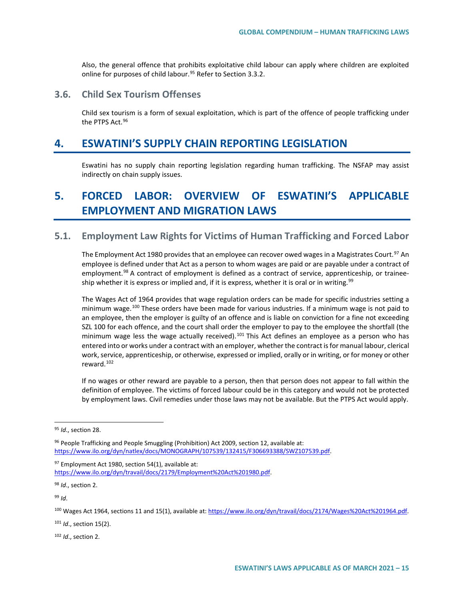Also, the general offence that prohibits exploitative child labour can apply where children are exploited online for purposes of child labour.<sup>[95](#page-14-0)</sup> Refer to Section 3.3.2.

# **3.6. Child Sex Tourism Offenses**

Child sex tourism is a form of sexual exploitation, which is part of the offence of people trafficking under the PTPS Act.<sup>[96](#page-14-1)</sup>

# **4. ESWATINI'S SUPPLY CHAIN REPORTING LEGISLATION**

Eswatini has no supply chain reporting legislation regarding human trafficking. The NSFAP may assist indirectly on chain supply issues.

# **5. FORCED LABOR: OVERVIEW OF ESWATINI'S APPLICABLE EMPLOYMENT AND MIGRATION LAWS**

# **5.1. Employment Law Rights for Victims of Human Trafficking and Forced Labor**

The Employment Act 1980 provides that an employee can recover owed wages in a Magistrates Court.<sup>[97](#page-14-2)</sup> An employee is defined under that Act as a person to whom wages are paid or are payable under a contract of employment.<sup>[98](#page-14-3)</sup> A contract of employment is defined as a contract of service, apprenticeship, or trainee-ship whether it is express or implied and, if it is express, whether it is oral or in writing.<sup>[99](#page-14-4)</sup>

The Wages Act of 1964 provides that wage regulation orders can be made for specific industries setting a minimum wage.<sup>[100](#page-14-5)</sup> These orders have been made for various industries. If a minimum wage is not paid to an employee, then the employer is guilty of an offence and is liable on conviction for a fine not exceeding SZL 100 for each offence, and the court shall order the employer to pay to the employee the shortfall (the minimum wage less the wage actually received).<sup>[101](#page-14-6)</sup> This Act defines an employee as a person who has entered into or works under a contract with an employer, whether the contract is for manual labour, clerical work, service, apprenticeship, or otherwise, expressed or implied, orally or in writing, or for money or other reward.[102](#page-14-7)

If no wages or other reward are payable to a person, then that person does not appear to fall within the definition of employee. The victims of forced labour could be in this category and would not be protected by employment laws. Civil remedies under those laws may not be available. But the PTPS Act would apply.

<span id="page-14-1"></span>96 People Trafficking and People Smuggling (Prohibition) Act 2009, section 12, available at: [https://www.ilo.org/dyn/natlex/docs/MONOGRAPH/107539/132415/F306693388/SWZ107539.pdf.](https://www.ilo.org/dyn/natlex/docs/MONOGRAPH/107539/132415/F306693388/SWZ107539.pdf)

<span id="page-14-2"></span> $97$  Employment Act 1980, section 54(1), available at: [https://www.ilo.org/dyn/travail/docs/2179/Employment%20Act%201980.pdf.](https://www.ilo.org/dyn/travail/docs/2179/Employment%20Act%201980.pdf) 

<span id="page-14-3"></span><sup>98</sup> *Id*., section 2.

<span id="page-14-4"></span><sup>99</sup> *Id*.

<span id="page-14-5"></span><sup>100</sup> Wages Act 1964, sections 11 and 15(1), available at: https://www.ilo.org/dyn/travail/docs/2174/Wages%20Act%201964.pdf.

<span id="page-14-6"></span><sup>101</sup> *Id*., section 15(2).

<span id="page-14-7"></span><sup>102</sup> *Id*., section 2.

<span id="page-14-0"></span> <sup>95</sup> *Id*., section 28.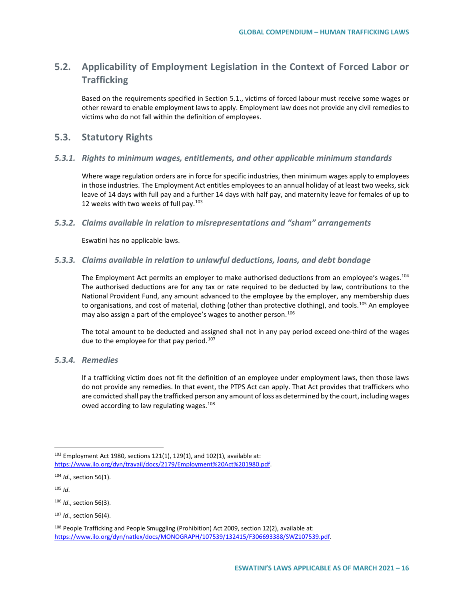# **5.2. Applicability of Employment Legislation in the Context of Forced Labor or Trafficking**

Based on the requirements specified in Section 5.1., victims of forced labour must receive some wages or other reward to enable employment laws to apply. Employment law does not provide any civil remedies to victims who do not fall within the definition of employees.

# **5.3. Statutory Rights**

# *5.3.1. Rights to minimum wages, entitlements, and other applicable minimum standards*

Where wage regulation orders are in force for specific industries, then minimum wages apply to employees in those industries. The Employment Act entitles employees to an annual holiday of at least two weeks, sick leave of 14 days with full pay and a further 14 days with half pay, and maternity leave for females of up to 12 weeks with two weeks of full pay.<sup>[103](#page-15-0)</sup>

# *5.3.2. Claims available in relation to misrepresentations and "sham" arrangements*

Eswatini has no applicable laws.

# *5.3.3. Claims available in relation to unlawful deductions, loans, and debt bondage*

The Employment Act permits an employer to make authorised deductions from an employee's wages.<sup>[104](#page-15-1)</sup> The authorised deductions are for any tax or rate required to be deducted by law, contributions to the National Provident Fund, any amount advanced to the employee by the employer, any membership dues to organisations, and cost of material, clothing (other than protective clothing), and tools.<sup>[105](#page-15-2)</sup> An employee may also assign a part of the employee's wages to another person.<sup>[106](#page-15-3)</sup>

The total amount to be deducted and assigned shall not in any pay period exceed one-third of the wages due to the employee for that pay period.<sup>[107](#page-15-4)</sup>

# *5.3.4. Remedies*

If a trafficking victim does not fit the definition of an employee under employment laws, then those laws do not provide any remedies. In that event, the PTPS Act can apply. That Act provides that traffickers who are convicted shall pay the trafficked person any amount of loss as determined by the court, including wages owed according to law regulating wages.<sup>[108](#page-15-5)</sup>

<span id="page-15-2"></span> $105$  *Id.* 

<span id="page-15-0"></span> $103$  Employment Act 1980, sections 121(1), 129(1), and 102(1), available at: [https://www.ilo.org/dyn/travail/docs/2179/Employment%20Act%201980.pdf.](https://www.ilo.org/dyn/travail/docs/2179/Employment%20Act%201980.pdf) 

<span id="page-15-1"></span><sup>104</sup> *Id*., section 56(1).

<span id="page-15-3"></span><sup>106</sup> *Id*., section 56(3).

<span id="page-15-4"></span><sup>107</sup> *Id*., section 56(4).

<span id="page-15-5"></span><sup>&</sup>lt;sup>108</sup> People Trafficking and People Smuggling (Prohibition) Act 2009, section 12(2), available at: [https://www.ilo.org/dyn/natlex/docs/MONOGRAPH/107539/132415/F306693388/SWZ107539.pdf.](https://www.ilo.org/dyn/natlex/docs/MONOGRAPH/107539/132415/F306693388/SWZ107539.pdf)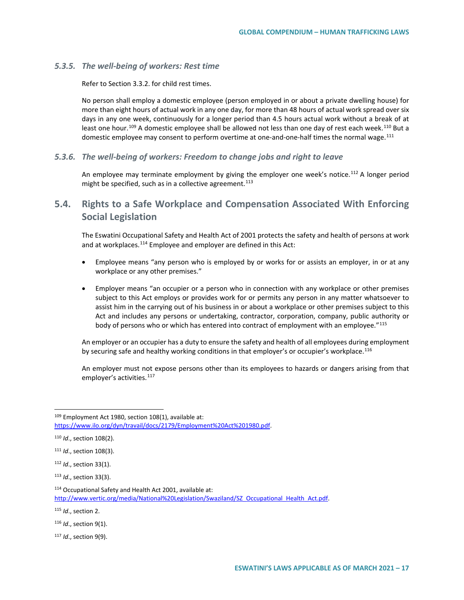#### *5.3.5. The well-being of workers: Rest time*

Refer to Section 3.3.2. for child rest times.

No person shall employ a domestic employee (person employed in or about a private dwelling house) for more than eight hours of actual work in any one day, for more than 48 hours of actual work spread over six days in any one week, continuously for a longer period than 4.5 hours actual work without a break of at least one hour.<sup>[109](#page-16-0)</sup> A domestic employee shall be allowed not less than one day of rest each week.<sup>[110](#page-16-1)</sup> But a domestic employee may consent to perform overtime at one-and-one-half times the normal wage.<sup>[111](#page-16-2)</sup>

## *5.3.6. The well-being of workers: Freedom to change jobs and right to leave*

An employee may terminate employment by giving the employer one week's notice.<sup>[112](#page-16-3)</sup> A longer period might be specified, such as in a collective agreement. $113$ 

# **5.4. Rights to a Safe Workplace and Compensation Associated With Enforcing Social Legislation**

The Eswatini Occupational Safety and Health Act of 2001 protects the safety and health of persons at work and at workplaces.<sup>[114](#page-16-5)</sup> Employee and employer are defined in this Act:

- Employee means "any person who is employed by or works for or assists an employer, in or at any workplace or any other premises."
- Employer means "an occupier or a person who in connection with any workplace or other premises subject to this Act employs or provides work for or permits any person in any matter whatsoever to assist him in the carrying out of his business in or about a workplace or other premises subject to this Act and includes any persons or undertaking, contractor, corporation, company, public authority or body of persons who or which has entered into contract of employment with an employee."[115](#page-16-6)

An employer or an occupier has a duty to ensure the safety and health of all employees during employment by securing safe and healthy working conditions in that employer's or occupier's workplace.<sup>[116](#page-16-7)</sup>

An employer must not expose persons other than its employees to hazards or dangers arising from that employer's activities.<sup>[117](#page-16-8)</sup>

<span id="page-16-0"></span> <sup>109</sup> Employment Act 1980, section 108(1), available at: [https://www.ilo.org/dyn/travail/docs/2179/Employment%20Act%201980.pdf.](https://www.ilo.org/dyn/travail/docs/2179/Employment%20Act%201980.pdf) 

<span id="page-16-1"></span><sup>110</sup> *Id*., section 108(2).

<span id="page-16-2"></span><sup>111</sup> *Id*., section 108(3).

<span id="page-16-3"></span><sup>112</sup> *Id*., section 33(1).

<span id="page-16-4"></span><sup>113</sup> *Id*., section 33(3).

<span id="page-16-5"></span><sup>114</sup> Occupational Safety and Health Act 2001, available at: [http://www.vertic.org/media/National%20Legislation/Swaziland/SZ\\_Occupational\\_Health\\_Act.pdf.](http://www.vertic.org/media/National%20Legislation/Swaziland/SZ_Occupational_Health_Act.pdf)

<span id="page-16-6"></span><sup>115</sup> *Id*., section 2.

<span id="page-16-7"></span><sup>116</sup> *Id*., section 9(1).

<span id="page-16-8"></span><sup>117</sup> *Id*., section 9(9).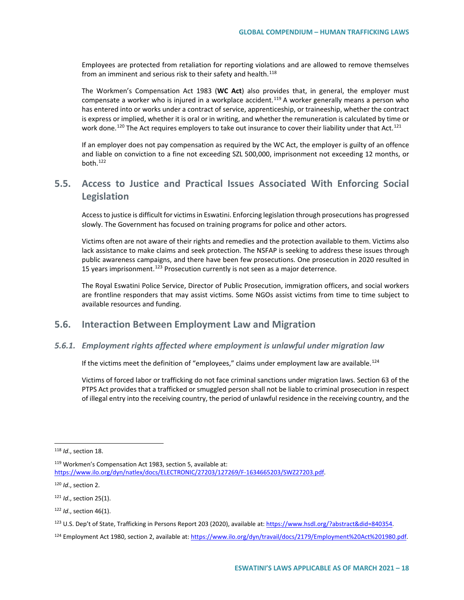Employees are protected from retaliation for reporting violations and are allowed to remove themselves from an imminent and serious risk to their safety and health. $118$ 

The Workmen's Compensation Act 1983 (**WC Act**) also provides that, in general, the employer must compensate a worker who is injured in a workplace accident.<sup>[119](#page-17-1)</sup> A worker generally means a person who has entered into or works under a contract of service, apprenticeship, or traineeship, whether the contract is express or implied, whether it is oral or in writing, and whether the remuneration is calculated by time or work done.<sup>120</sup> The Act requires employers to take out insurance to cover their liability under that Act.<sup>[121](#page-17-3)</sup>

If an employer does not pay compensation as required by the WC Act, the employer is guilty of an offence and liable on conviction to a fine not exceeding SZL 500,000, imprisonment not exceeding 12 months, or both.[122](#page-17-4)

# **5.5. Access to Justice and Practical Issues Associated With Enforcing Social Legislation**

Access to justice is difficult for victims in Eswatini. Enforcing legislation through prosecutions has progressed slowly. The Government has focused on training programs for police and other actors.

Victims often are not aware of their rights and remedies and the protection available to them. Victims also lack assistance to make claims and seek protection. The NSFAP is seeking to address these issues through public awareness campaigns, and there have been few prosecutions. One prosecution in 2020 resulted in 15 years imprisonment.<sup>[123](#page-17-5)</sup> Prosecution currently is not seen as a major deterrence.

The Royal Eswatini Police Service, Director of Public Prosecution, immigration officers, and social workers are frontline responders that may assist victims. Some NGOs assist victims from time to time subject to available resources and funding.

# **5.6. Interaction Between Employment Law and Migration**

## *5.6.1. Employment rights affected where employment is unlawful under migration law*

If the victims meet the definition of "employees," claims under employment law are available.<sup>[124](#page-17-6)</sup>

Victims of forced labor or trafficking do not face criminal sanctions under migration laws. Section 63 of the PTPS Act provides that a trafficked or smuggled person shall not be liable to criminal prosecution in respect of illegal entry into the receiving country, the period of unlawful residence in the receiving country, and the

<span id="page-17-0"></span> <sup>118</sup> *Id*., section 18.

<span id="page-17-1"></span><sup>119</sup> Workmen's Compensation Act 1983, section 5, available at: [https://www.ilo.org/dyn/natlex/docs/ELECTRONIC/27203/127269/F-1634665203/SWZ27203.pdf.](https://www.ilo.org/dyn/natlex/docs/ELECTRONIC/27203/127269/F-1634665203/SWZ27203.pdf) 

<span id="page-17-2"></span><sup>120</sup> *Id*., section 2.

<span id="page-17-3"></span><sup>121</sup> *Id*., section 25(1).

<span id="page-17-4"></span><sup>122</sup> *Id*., section 46(1).

<span id="page-17-5"></span><sup>123</sup> U.S. Dep't of State, Trafficking in Persons Report 203 (2020), available at[: https://www.hsdl.org/?abstract&did=840354.](https://www.hsdl.org/?abstract&did=840354)

<span id="page-17-6"></span><sup>124</sup> Employment Act 1980, section 2, available at: https://www.ilo.org/dyn/travail/docs/2179/Employment%20Act%201980.pdf.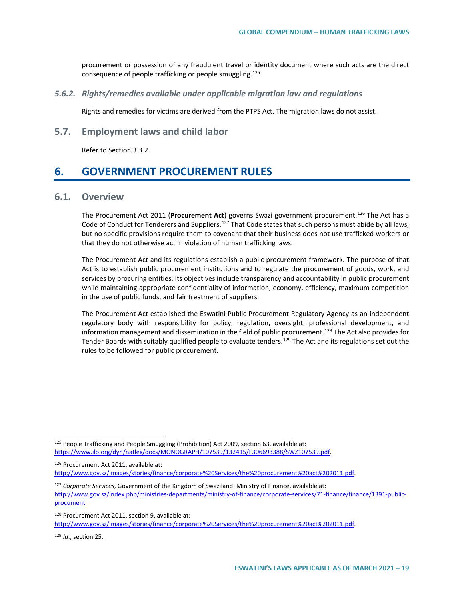procurement or possession of any fraudulent travel or identity document where such acts are the direct consequence of people trafficking or people smuggling.<sup>[125](#page-18-0)</sup>

*5.6.2. Rights/remedies available under applicable migration law and regulations*

Rights and remedies for victims are derived from the PTPS Act. The migration laws do not assist.

**5.7. Employment laws and child labor**

Refer to Section 3.3.2.

# **6. GOVERNMENT PROCUREMENT RULES**

# **6.1. Overview**

The Procurement Act 2011 (**Procurement Act**) governs Swazi government procurement.[126](#page-18-1) The Act has a Code of Conduct for Tenderers and Suppliers.<sup>[127](#page-18-2)</sup> That Code states that such persons must abide by all laws, but no specific provisions require them to covenant that their business does not use trafficked workers or that they do not otherwise act in violation of human trafficking laws.

The Procurement Act and its regulations establish a public procurement framework. The purpose of that Act is to establish public procurement institutions and to regulate the procurement of goods, work, and services by procuring entities. Its objectives include transparency and accountability in public procurement while maintaining appropriate confidentiality of information, economy, efficiency, maximum competition in the use of public funds, and fair treatment of suppliers.

The Procurement Act established the Eswatini Public Procurement Regulatory Agency as an independent regulatory body with responsibility for policy, regulation, oversight, professional development, and information management and dissemination in the field of public procurement.<sup>[128](#page-18-3)</sup> The Act also provides for Tender Boards with suitably qualified people to evaluate tenders.<sup>[129](#page-18-4)</sup> The Act and its regulations set out the rules to be followed for public procurement.

<span id="page-18-1"></span><sup>126</sup> Procurement Act 2011, available at: [http://www.gov.sz/images/stories/finance/corporate%20Services/the%20procurement%20act%202011.pdf.](http://www.gov.sz/images/stories/finance/corporate%20Services/the%20procurement%20act%202011.pdf) 

<span id="page-18-4"></span><sup>129</sup> *Id*., section 25.

<span id="page-18-0"></span><sup>125</sup> People Trafficking and People Smuggling (Prohibition) Act 2009, section 63, available at: [https://www.ilo.org/dyn/natlex/docs/MONOGRAPH/107539/132415/F306693388/SWZ107539.pdf.](https://www.ilo.org/dyn/natlex/docs/MONOGRAPH/107539/132415/F306693388/SWZ107539.pdf)

<span id="page-18-2"></span><sup>127</sup> *Corporate Services*, Government of the Kingdom of Swaziland: Ministry of Finance, available at:

[http://www.gov.sz/index.php/ministries-departments/ministry-of-finance/corporate-services/71-finance/finance/1391-public](http://www.gov.sz/index.php/ministries-departments/ministry-of-finance/corporate-services/71-finance/finance/1391-public-procument)[procument.](http://www.gov.sz/index.php/ministries-departments/ministry-of-finance/corporate-services/71-finance/finance/1391-public-procument) 

<span id="page-18-3"></span><sup>128</sup> Procurement Act 2011, section 9, available at: [http://www.gov.sz/images/stories/finance/corporate%20Services/the%20procurement%20act%202011.pdf.](http://www.gov.sz/images/stories/finance/corporate%20Services/the%20procurement%20act%202011.pdf)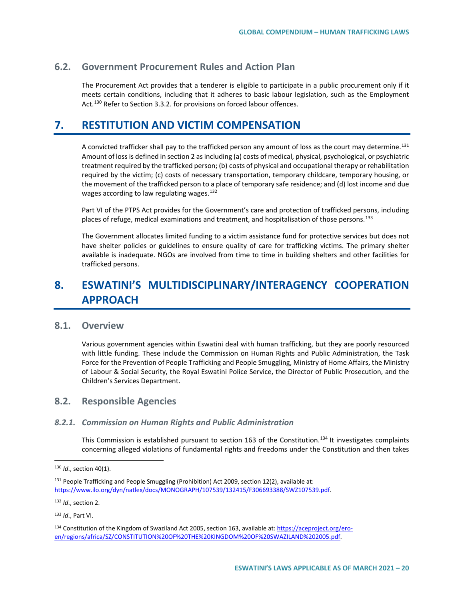# **6.2. Government Procurement Rules and Action Plan**

The Procurement Act provides that a tenderer is eligible to participate in a public procurement only if it meets certain conditions, including that it adheres to basic labour legislation, such as the Employment Act.<sup>[130](#page-19-0)</sup> Refer to Section 3.3.2. for provisions on forced labour offences.

# **7. RESTITUTION AND VICTIM COMPENSATION**

A convicted trafficker shall pay to the trafficked person any amount of loss as the court may determine.<sup>[131](#page-19-1)</sup> Amount of loss is defined in section 2 as including (a) costs of medical, physical, psychological, or psychiatric treatment required by the trafficked person; (b) costs of physical and occupational therapy or rehabilitation required by the victim; (c) costs of necessary transportation, temporary childcare, temporary housing, or the movement of the trafficked person to a place of temporary safe residence; and (d) lost income and due wages according to law regulating wages.<sup>[132](#page-19-2)</sup>

Part VI of the PTPS Act provides for the Government's care and protection of trafficked persons, including places of refuge, medical examinations and treatment, and hospitalisation of those persons.<sup>[133](#page-19-3)</sup>

The Government allocates limited funding to a victim assistance fund for protective services but does not have shelter policies or guidelines to ensure quality of care for trafficking victims. The primary shelter available is inadequate. NGOs are involved from time to time in building shelters and other facilities for trafficked persons.

# **8. ESWATINI'S MULTIDISCIPLINARY/INTERAGENCY COOPERATION APPROACH**

# **8.1. Overview**

Various government agencies within Eswatini deal with human trafficking, but they are poorly resourced with little funding. These include the Commission on Human Rights and Public Administration, the Task Force for the Prevention of People Trafficking and People Smuggling, Ministry of Home Affairs, the Ministry of Labour & Social Security, the Royal Eswatini Police Service, the Director of Public Prosecution, and the Children's Services Department.

# **8.2. Responsible Agencies**

#### *8.2.1. Commission on Human Rights and Public Administration*

This Commission is established pursuant to section 163 of the Constitution.<sup>[134](#page-19-4)</sup> It investigates complaints concerning alleged violations of fundamental rights and freedoms under the Constitution and then takes

<span id="page-19-2"></span><sup>132</sup> *Id*., section 2.

<span id="page-19-3"></span><sup>133</sup> *Id*., Part VI.

<span id="page-19-0"></span> <sup>130</sup> *Id*., section 40(1).

<span id="page-19-1"></span><sup>&</sup>lt;sup>131</sup> People Trafficking and People Smuggling (Prohibition) Act 2009, section 12(2), available at: [https://www.ilo.org/dyn/natlex/docs/MONOGRAPH/107539/132415/F306693388/SWZ107539.pdf.](https://www.ilo.org/dyn/natlex/docs/MONOGRAPH/107539/132415/F306693388/SWZ107539.pdf)

<span id="page-19-4"></span><sup>134</sup> Constitution of the Kingdom of Swaziland Act 2005, section 163, available at[: https://aceproject.org/ero](https://aceproject.org/ero-en/regions/africa/SZ/CONSTITUTION%20OF%20THE%20KINGDOM%20OF%20SWAZILAND%202005.pdf)[en/regions/africa/SZ/CONSTITUTION%20OF%20THE%20KINGDOM%20OF%20SWAZILAND%202005.pdf.](https://aceproject.org/ero-en/regions/africa/SZ/CONSTITUTION%20OF%20THE%20KINGDOM%20OF%20SWAZILAND%202005.pdf)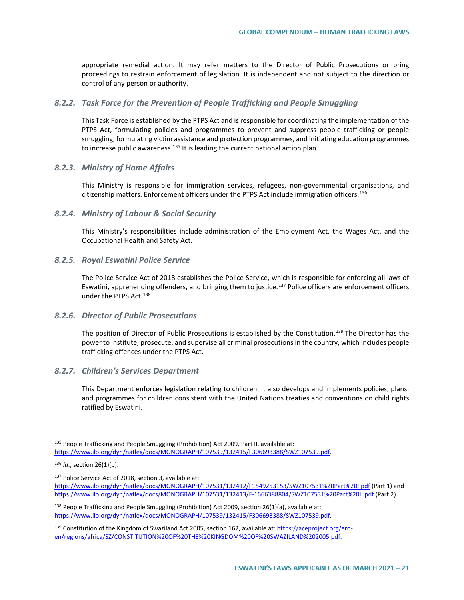appropriate remedial action. It may refer matters to the Director of Public Prosecutions or bring proceedings to restrain enforcement of legislation. It is independent and not subject to the direction or control of any person or authority.

## *8.2.2. Task Force for the Prevention of People Trafficking and People Smuggling*

This Task Force is established by the PTPS Act and is responsible for coordinating the implementation of the PTPS Act, formulating policies and programmes to prevent and suppress people trafficking or people smuggling, formulating victim assistance and protection programmes, and initiating education programmes to increase public awareness.<sup>[135](#page-20-0)</sup> It is leading the current national action plan.

## *8.2.3. Ministry of Home Affairs*

This Ministry is responsible for immigration services, refugees, non-governmental organisations, and citizenship matters. Enforcement officers under the PTPS Act include immigration officers.<sup>[136](#page-20-1)</sup>

## *8.2.4. Ministry of Labour & Social Security*

This Ministry's responsibilities include administration of the Employment Act, the Wages Act, and the Occupational Health and Safety Act.

## *8.2.5. Royal Eswatini Police Service*

The Police Service Act of 2018 establishes the Police Service, which is responsible for enforcing all laws of Eswatini, apprehending offenders, and bringing them to justice.<sup>[137](#page-20-2)</sup> Police officers are enforcement officers under the PTPS Act.<sup>[138](#page-20-3)</sup>

## *8.2.6. Director of Public Prosecutions*

The position of Director of Public Prosecutions is established by the Constitution.<sup>[139](#page-20-4)</sup> The Director has the power to institute, prosecute, and supervise all criminal prosecutions in the country, which includes people trafficking offences under the PTPS Act.

# *8.2.7. Children's Services Department*

This Department enforces legislation relating to children. It also develops and implements policies, plans, and programmes for children consistent with the United Nations treaties and conventions on child rights ratified by Eswatini.

<span id="page-20-2"></span>137 Police Service Act of 2018, section 3, available at: <https://www.ilo.org/dyn/natlex/docs/MONOGRAPH/107531/132412/F1549253153/SWZ107531%20Part%20I.pdf> (Part 1) and <https://www.ilo.org/dyn/natlex/docs/MONOGRAPH/107531/132413/F-1666388804/SWZ107531%20Part%20II.pdf> (Part 2).

<span id="page-20-0"></span><sup>135</sup> People Trafficking and People Smuggling (Prohibition) Act 2009, Part II, available at: [https://www.ilo.org/dyn/natlex/docs/MONOGRAPH/107539/132415/F306693388/SWZ107539.pdf.](https://www.ilo.org/dyn/natlex/docs/MONOGRAPH/107539/132415/F306693388/SWZ107539.pdf)

<span id="page-20-1"></span><sup>136</sup> *Id*., section 26(1)(b).

<span id="page-20-3"></span><sup>138</sup> People Trafficking and People Smuggling (Prohibition) Act 2009, section 26(1)(a), available at: [https://www.ilo.org/dyn/natlex/docs/MONOGRAPH/107539/132415/F306693388/SWZ107539.pdf.](https://www.ilo.org/dyn/natlex/docs/MONOGRAPH/107539/132415/F306693388/SWZ107539.pdf)

<span id="page-20-4"></span><sup>139</sup> Constitution of the Kingdom of Swaziland Act 2005, section 162, available at[: https://aceproject.org/ero](https://aceproject.org/ero-en/regions/africa/SZ/CONSTITUTION%20OF%20THE%20KINGDOM%20OF%20SWAZILAND%202005.pdf)[en/regions/africa/SZ/CONSTITUTION%20OF%20THE%20KINGDOM%20OF%20SWAZILAND%202005.pdf.](https://aceproject.org/ero-en/regions/africa/SZ/CONSTITUTION%20OF%20THE%20KINGDOM%20OF%20SWAZILAND%202005.pdf)